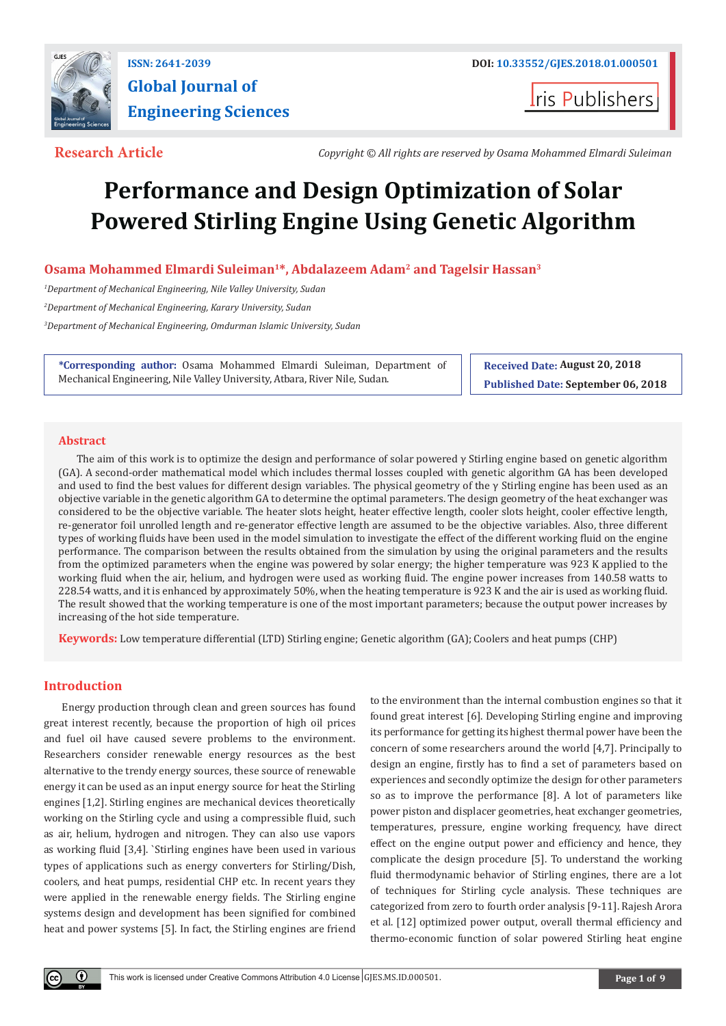

# **Global Journal of Engineering Sciences**

**Iris Publishers** 

**Research Article** *Copyright © All rights are reserved by Osama Mohammed Elmardi Suleiman*

# **Performance and Design Optimization of Solar Powered Stirling Engine Using Genetic Algorithm**

# **Osama Mohammed Elmardi Suleiman1\*, Abdalazeem Adam2 and Tagelsir Hassan3**

*1 Department of Mechanical Engineering, Nile Valley University, Sudan 2 Department of Mechanical Engineering, Karary University, Sudan 3 Department of Mechanical Engineering, Omdurman Islamic University, Sudan*

**\*Corresponding author:** Osama Mohammed Elmardi Suleiman, Department of Mechanical Engineering, Nile Valley University, Atbara, River Nile, Sudan.

**Received Date: August 20, 2018 Published Date: September 06, 2018**

# **Abstract**

The aim of this work is to optimize the design and performance of solar powered  $\gamma$  Stirling engine based on genetic algorithm (GA). A second-order mathematical model which includes thermal losses coupled with genetic algorithm GA has been developed and used to find the best values for different design variables. The physical geometry of the  $\gamma$  Stirling engine has been used as an objective variable in the genetic algorithm GA to determine the optimal parameters. The design geometry of the heat exchanger was considered to be the objective variable. The heater slots height, heater effective length, cooler slots height, cooler effective length, re-generator foil unrolled length and re-generator effective length are assumed to be the objective variables. Also, three different types of working fluids have been used in the model simulation to investigate the effect of the different working fluid on the engine performance. The comparison between the results obtained from the simulation by using the original parameters and the results from the optimized parameters when the engine was powered by solar energy; the higher temperature was 923 K applied to the working fluid when the air, helium, and hydrogen were used as working fluid. The engine power increases from 140.58 watts to 228.54 watts, and it is enhanced by approximately 50%, when the heating temperature is 923 K and the air is used as working fluid. The result showed that the working temperature is one of the most important parameters; because the output power increases by increasing of the hot side temperature.

**Keywords:** Low temperature differential (LTD) Stirling engine; Genetic algorithm (GA); Coolers and heat pumps (CHP)

# **Introduction**

Energy production through clean and green sources has found great interest recently, because the proportion of high oil prices and fuel oil have caused severe problems to the environment. Researchers consider renewable energy resources as the best alternative to the trendy energy sources, these source of renewable energy it can be used as an input energy source for heat the Stirling engines [1,2]. Stirling engines are mechanical devices theoretically working on the Stirling cycle and using a compressible fluid, such as air, helium, hydrogen and nitrogen. They can also use vapors as working fluid [3,4]. `Stirling engines have been used in various types of applications such as energy converters for Stirling/Dish, coolers, and heat pumps, residential CHP etc. In recent years they were applied in the renewable energy fields. The Stirling engine systems design and development has been signified for combined heat and power systems [5]. In fact, the Stirling engines are friend to the environment than the internal combustion engines so that it found great interest [6]. Developing Stirling engine and improving its performance for getting its highest thermal power have been the concern of some researchers around the world [4,7]. Principally to design an engine, firstly has to find a set of parameters based on experiences and secondly optimize the design for other parameters so as to improve the performance [8]. A lot of parameters like power piston and displacer geometries, heat exchanger geometries, temperatures, pressure, engine working frequency, have direct effect on the engine output power and efficiency and hence, they complicate the design procedure [5]. To understand the working fluid thermodynamic behavior of Stirling engines, there are a lot of techniques for Stirling cycle analysis. These techniques are categorized from zero to fourth order analysis [9-11]. Rajesh Arora et al. [12] optimized power output, overall thermal efficiency and thermo-economic function of solar powered Stirling heat engine

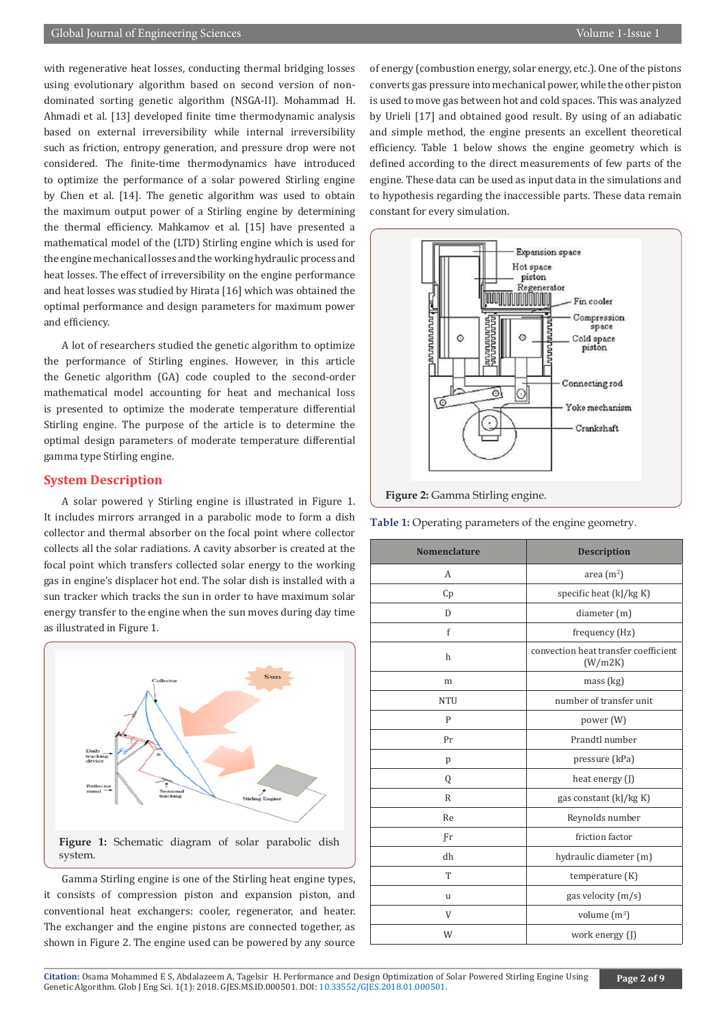# Global Journal of Engineering Sciences Volume 1-Issue 1 and 2008 and 2009 and 2009 and 2009 and 2009 and 2009 and 2009 and 2009 and 2009 and 2009 and 2009 and 2009 and 2009 and 2009 and 2009 and 2009 and 2009 and 2009 and

with regenerative heat losses, conducting thermal bridging losses using evolutionary algorithm based on second version of nondominated sorting genetic algorithm (NSGA-II). Mohammad H. Ahmadi et al. [13] developed finite time thermodynamic analysis based on external irreversibility while internal irreversibility such as friction, entropy generation, and pressure drop were not considered. The finite-time thermodynamics have introduced to optimize the performance of a solar powered Stirling engine by Chen et al. [14]. The genetic algorithm was used to obtain the maximum output power of a Stirling engine by determining the thermal efficiency. Mahkamov et al. [15] have presented a mathematical model of the (LTD) Stirling engine which is used for the engine mechanical losses and the working hydraulic process and heat losses. The effect of irreversibility on the engine performance and heat losses was studied by Hirata [16] which was obtained the optimal performance and design parameters for maximum power and efficiency.

A lot of researchers studied the genetic algorithm to optimize the performance of Stirling engines. However, in this article the Genetic algorithm (GA) code coupled to the second-order mathematical model accounting for heat and mechanical loss is presented to optimize the moderate temperature differential Stirling engine. The purpose of the article is to determine the optimal design parameters of moderate temperature differential gamma type Stirling engine.

# **System Description**

A solar powered γ Stirling engine is illustrated in Figure 1. It includes mirrors arranged in a parabolic mode to form a dish collector and thermal absorber on the focal point where collector collects all the solar radiations. A cavity absorber is created at the focal point which transfers collected solar energy to the working gas in engine's displacer hot end. The solar dish is installed with a sun tracker which tracks the sun in order to have maximum solar energy transfer to the engine when the sun moves during day time as illustrated in Figure 1.



Gamma Stirling engine is one of the Stirling heat engine types, it consists of compression piston and expansion piston, and conventional heat exchangers: cooler, regenerator, and heater. The exchanger and the engine pistons are connected together, as shown in Figure 2. The engine used can be powered by any source of energy (combustion energy, solar energy, etc.). One of the pistons converts gas pressure into mechanical power, while the other piston is used to move gas between hot and cold spaces. This was analyzed by Urieli [17] and obtained good result. By using of an adiabatic and simple method, the engine presents an excellent theoretical efficiency. Table 1 below shows the engine geometry which is defined according to the direct measurements of few parts of the engine. These data can be used as input data in the simulations and to hypothesis regarding the inaccessible parts. These data remain constant for every simulation.



**Table 1:** Operating parameters of the engine geometry.

| <b>Nomenclature</b> | <b>Description</b>                              |
|---------------------|-------------------------------------------------|
| A                   | area $(m^2)$                                    |
| Cp                  | specific heat $(k]/kg K$                        |
| D                   | diameter (m)                                    |
| f                   | frequency (Hz)                                  |
| $\mathbf{h}$        | convection heat transfer coefficient<br>(W/m2K) |
| m                   | mass (kg)                                       |
| <b>NTU</b>          | number of transfer unit                         |
| P                   | power (W)                                       |
| Pr                  | Prandtl number                                  |
| p                   | pressure (kPa)                                  |
| Q                   | heat energy (J)                                 |
| $\mathbb{R}$        | gas constant (kJ/kg K)                          |
| Re                  | Reynolds number                                 |
| Fr                  | friction factor                                 |
| dh                  | hydraulic diameter (m)                          |
| T                   | temperature (K)                                 |
| u                   | gas velocity (m/s)                              |
| V                   | volume $(m^3)$                                  |
| W                   | work energy (J)                                 |
|                     |                                                 |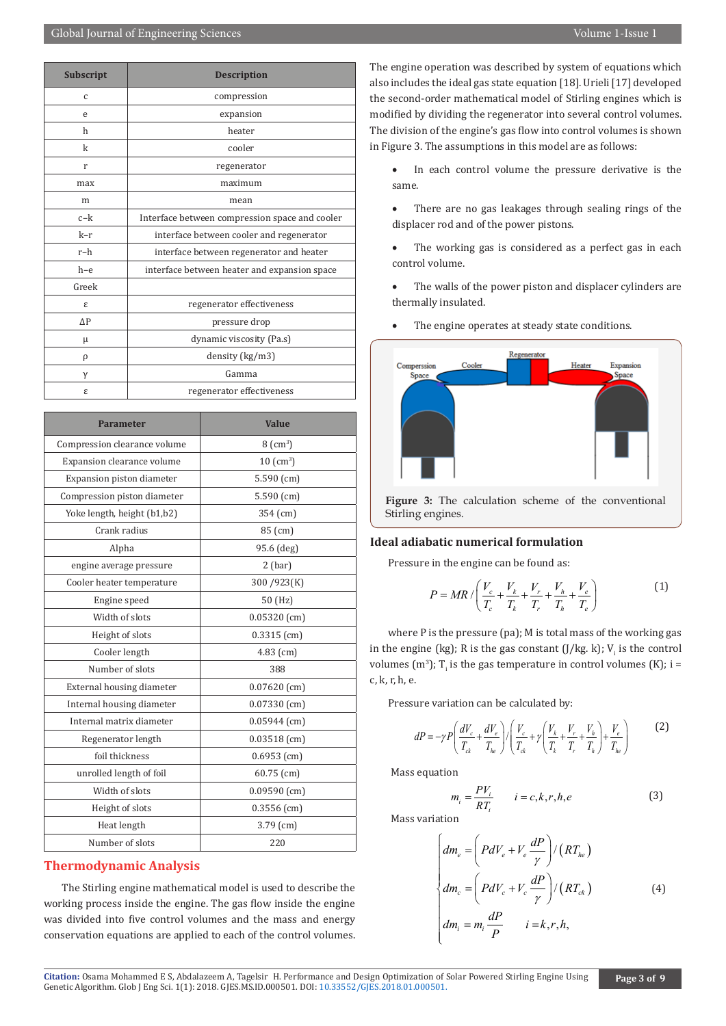| Subscript  | <b>Description</b>                             |
|------------|------------------------------------------------|
| C          | compression                                    |
| e          | expansion                                      |
| h          | heater                                         |
| k          | cooler                                         |
| r          | regenerator                                    |
| max        | maximum                                        |
| m          | mean                                           |
| $c-k$      | Interface between compression space and cooler |
| k-r        | interface between cooler and regenerator       |
| r-h        | interface between regenerator and heater       |
| $h-e$      | interface between heater and expansion space   |
| Greek      |                                                |
| ε          | regenerator effectiveness                      |
| $\Delta P$ | pressure drop                                  |
| μ          | dynamic viscosity (Pa.s)                       |
| ρ          | density (kg/m3)                                |
| γ          | Gamma                                          |
| ε          | regenerator effectiveness                      |

| Parameter                    | <b>Value</b>       |
|------------------------------|--------------------|
| Compression clearance volume | $8 \text{ (cm}^3)$ |
| Expansion clearance volume   | $10~(\text{cm}^3)$ |
| Expansion piston diameter    | 5.590(cm)          |
| Compression piston diameter  | 5.590 (cm)         |
| Yoke length, height (b1,b2)  | 354 (cm)           |
| Crank radius                 | 85 (cm)            |
| Alpha                        | 95.6 (deg)         |
| engine average pressure      | $2$ (bar)          |
| Cooler heater temperature    | 300/923(K)         |
| Engine speed                 | 50 (Hz)            |
| Width of slots               | $0.05320$ (cm)     |
| Height of slots              | $0.3315$ (cm)      |
| Cooler length                | $4.83$ (cm)        |
| Number of slots              | 388                |
| External housing diameter    | $0.07620$ (cm)     |
| Internal housing diameter    | $0.07330$ (cm)     |
| Internal matrix diameter     | $0.05944$ (cm)     |
| Regenerator length           | $0.03518$ (cm)     |
| foil thickness               | $0.6953$ (cm)      |
| unrolled length of foil      | $60.75$ (cm)       |
| Width of slots               | $0.09590$ (cm)     |
| Height of slots              | $0.3556$ (cm)      |
| Heat length                  | $3.79$ (cm)        |
| Number of slots              | 220                |

# **Thermodynamic Analysis**

The Stirling engine mathematical model is used to describe the working process inside the engine. The gas flow inside the engine was divided into five control volumes and the mass and energy conservation equations are applied to each of the control volumes.

The engine operation was described by system of equations which also includes the ideal gas state equation [18]. Urieli [17] developed the second-order mathematical model of Stirling engines which is modified by dividing the regenerator into several control volumes. The division of the engine's gas flow into control volumes is shown in Figure 3. The assumptions in this model are as follows:

- • In each control volume the pressure derivative is the same.
- There are no gas leakages through sealing rings of the displacer rod and of the power pistons.
- The working gas is considered as a perfect gas in each control volume.
- The walls of the power piston and displacer cylinders are thermally insulated.
- The engine operates at steady state conditions.



**Figure 3:** The calculation scheme of the conventional Stirling engines.

## **Ideal adiabatic numerical formulation**

Pressure in the engine can be found as:

$$
P = MR / \left( \frac{V_c}{T_c} + \frac{V_k}{T_k} + \frac{V_r}{T_r} + \frac{V_h}{T_h} + \frac{V_e}{T_e} \right)
$$
 (1)

where P is the pressure (pa); M is total mass of the working gas in the engine (kg); R is the gas constant (J/kg. k); V<sub>i</sub> is the control volumes (m<sup>3</sup>); T<sub>i</sub> is the gas temperature in control volumes (K); i = c, k, r, h, e.

Pressure variation can be calculated by:

$$
dP = -\gamma P \left( \frac{dV_c}{T_{ck}} + \frac{dV_e}{T_{he}} \right) / \left( \frac{V_c}{T_{ck}} + \gamma \left( \frac{V_k}{T_k} + \frac{V_r}{T_r} + \frac{V_h}{T_h} \right) + \frac{V_e}{T_{he}} \right)
$$
 (2)

Mass equation

$$
m_i = \frac{PV_i}{RT_i} \qquad i = c, k, r, h, e
$$
 (3)

Mass variation

$$
\begin{cases}\ndm_e = \left(PdV_e + V_e \frac{dP}{\gamma}\right) / \left(RT_{he}\right) \\
dm_c = \left(PdV_c + V_c \frac{dP}{\gamma}\right) / \left(RT_{ck}\right) \\
dm_i = m_i \frac{dP}{P} \qquad i = k, r, h,\n\end{cases} \tag{4}
$$

Citation: Osama Mohammed E S, Abdalazeem A, Tagelsir H. Perform[ance and Design Optimization of](http://dx.doi.org/10.33552/GJES.2018.01.000501) Solar Powered Stirling Engine Using<br>Genetic Algorithm. Glob J Eng Sci. 1(1): 2018. GJES.MS.ID.000501. DOI: 10.33552/GJES.2018.0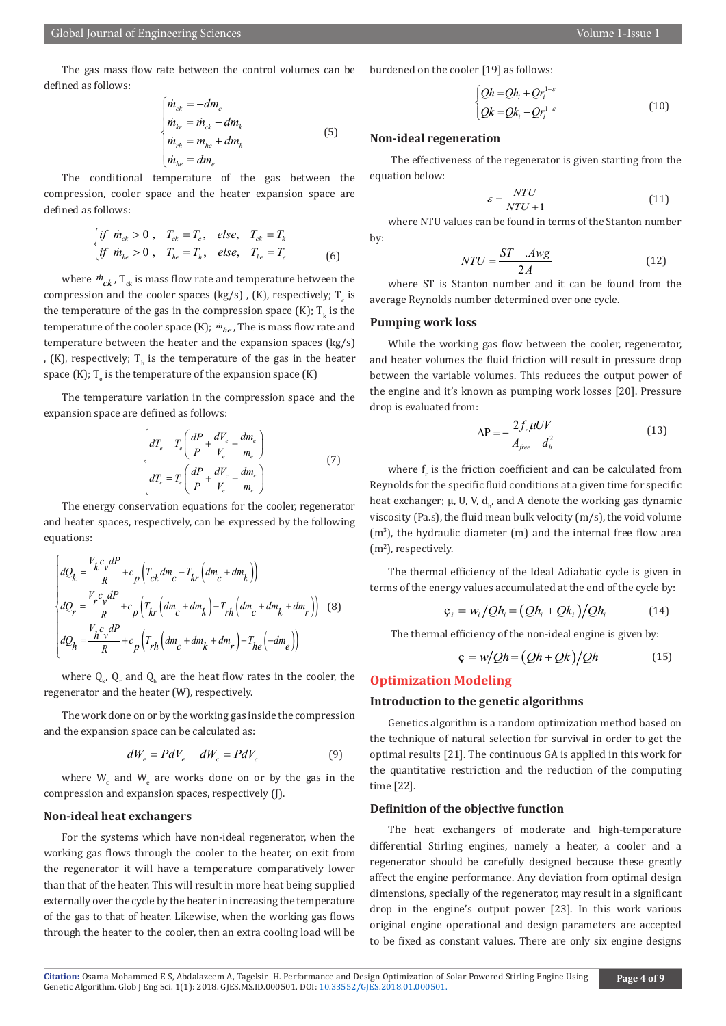The gas mass flow rate between the control volumes can be defined as follows:

$$
\begin{cases}\n\dot{m}_{ck} = -dm_c \\
\dot{m}_{kr} = \dot{m}_{ck} - dm_k \\
\dot{m}_{rh} = m_{he} + dm_h \\
\dot{m}_{he} = dm_e\n\end{cases}
$$
\n(5)

 $\overline{a}$ The conditional temperature of the gas between the compression, cooler space and the heater expansion space are defined as follows:

$$
\begin{cases}\n\text{if } \dot{m}_{ck} > 0, \quad T_{ck} = T_c, \quad \text{else,} \quad T_{ck} = T_k \\
\text{if } \dot{m}_{he} > 0, \quad T_{he} = T_h, \quad \text{else,} \quad T_{he} = T_e\n\end{cases} \tag{6}
$$

where  $\dot{m}_{ck}$ , T<sub>ck</sub> is mass flow rate and temperature between the compression and the cooler spaces (kg/s), (K), respectively;  $T_c$  is the temperature of the gas in the compression space (K);  $T_k$  is the temperature of the cooler space (K);  $\dot{m}_{he}$ , The is mass flow rate and temperature between the heater and the expansion spaces (kg/s) , (K), respectively;  $T<sub>h</sub>$  is the temperature of the gas in the heater space  $(K)$ ;  $T_e$  is the temperature of the expansion space  $(K)$ 

The temperature variation in the compression space and the expansion space are defined as follows:

$$
\begin{cases}\n dT_e = T_e \left( \frac{dP}{P} + \frac{dV_e}{V_e} - \frac{dm_e}{m_e} \right) \\
 dT_c = T_c \left( \frac{dP}{P} + \frac{dV_c}{V_c} - \frac{dm_c}{m_c} \right)\n\end{cases} \tag{7}
$$

 The energy conservation equations for the cooler, regenerator and heater spaces, respectively, can be expressed by the following equations:

$$
\begin{vmatrix} dQ_k = \frac{V_k c_v dP}{R} + c_p \left( T_{ck} dm_c - T_{kr} \left( dm_c + dm_k \right) \right) \\ dQ_r = \frac{V_c c_v dP}{R} + c_p \left( T_{kr} \left( dm_c + dm_k \right) - T_{rh} \left( dm_c + dm_k + dm_r \right) \right) \quad (8)
$$
  

$$
dQ_h = \frac{V_h c_v dP}{R} + c_p \left( T_{rh} \left( dm_c + dm_k + dm_r \right) - T_{he} \left( -dm_e \right) \right)
$$

where  $Q_{k'} Q_r$  and  $Q_h$  are the heat flow rates in the cooler, the regenerator and the heater (W), respectively.

The work done on or by the working gas inside the compression and the expansion space can be calculated as:

$$
dW_e = P dV_e \quad dW_c = P dV_c \tag{9}
$$

where  $W_c$  and  $W_e$  are works done on or by the gas in the compression and expansion spaces, respectively (J).

#### **Non-ideal heat exchangers**

For the systems which have non-ideal regenerator, when the working gas flows through the cooler to the heater, on exit from the regenerator it will have a temperature comparatively lower than that of the heater. This will result in more heat being supplied externally over the cycle by the heater in increasing the temperature of the gas to that of heater. Likewise, when the working gas flows through the heater to the cooler, then an extra cooling load will be

burdened on the cooler [19] as follows:

$$
\begin{cases} Qh = Qh_i + Qr_i^{1-\varepsilon} \\ Qk = Qk_i - Qr_i^{1-\varepsilon} \end{cases}
$$
 (10)

#### **Non-ideal regeneration**

 The effectiveness of the regenerator is given starting from the equation below:

$$
\varepsilon = \frac{NTU}{NTU + 1} \tag{11}
$$

where NTU values can be found in terms of the Stanton number by:

$$
NTU = \frac{ST \quad .Avg}{2A} \tag{12}
$$

where ST is Stanton number and it can be found from the average Reynolds number determined over one cycle.

#### **Pumping work loss**

While the working gas flow between the cooler, regenerator, and heater volumes the fluid friction will result in pressure drop between the variable volumes. This reduces the output power of the engine and it's known as pumping work losses [20]. Pressure drop is evaluated from:

$$
\Delta P = -\frac{2f_r \mu UV}{A_{free} d_h^2}
$$
 (13)

where  $f_r$  is the friction coefficient and can be calculated from Reynolds for the specific fluid conditions at a given time for specific heat exchanger;  $\mu$ , U, V, d<sub>h</sub>, and A denote the working gas dynamic viscosity (Pa.s), the fluid mean bulk velocity (m/s), the void volume  $(m<sup>3</sup>)$ , the hydraulic diameter  $(m)$  and the internal free flow area (m2 ), respectively.

The thermal efficiency of the Ideal Adiabatic cycle is given in terms of the energy values accumulated at the end of the cycle by:

$$
\varsigma_i = w_i / Qh_i = (Qh_i + Qk_i) / Qh_i \qquad (14)
$$

The thermal efficiency of the non-ideal engine is given by:

$$
\mathbf{c} = w/Qh = (Qh + Qk)/Qh \tag{15}
$$

# **Optimization Modeling**

## **Introduction to the genetic algorithms**

Genetics algorithm is a random optimization method based on the technique of natural selection for survival in order to get the optimal results [21]. The continuous GA is applied in this work for the quantitative restriction and the reduction of the computing time [22].

#### **Definition of the objective function**

The heat exchangers of moderate and high-temperature differential Stirling engines, namely a heater, a cooler and a regenerator should be carefully designed because these greatly affect the engine performance. Any deviation from optimal design dimensions, specially of the regenerator, may result in a significant drop in the engine's output power [23]. In this work various original engine operational and design parameters are accepted to be fixed as constant values. There are only six engine designs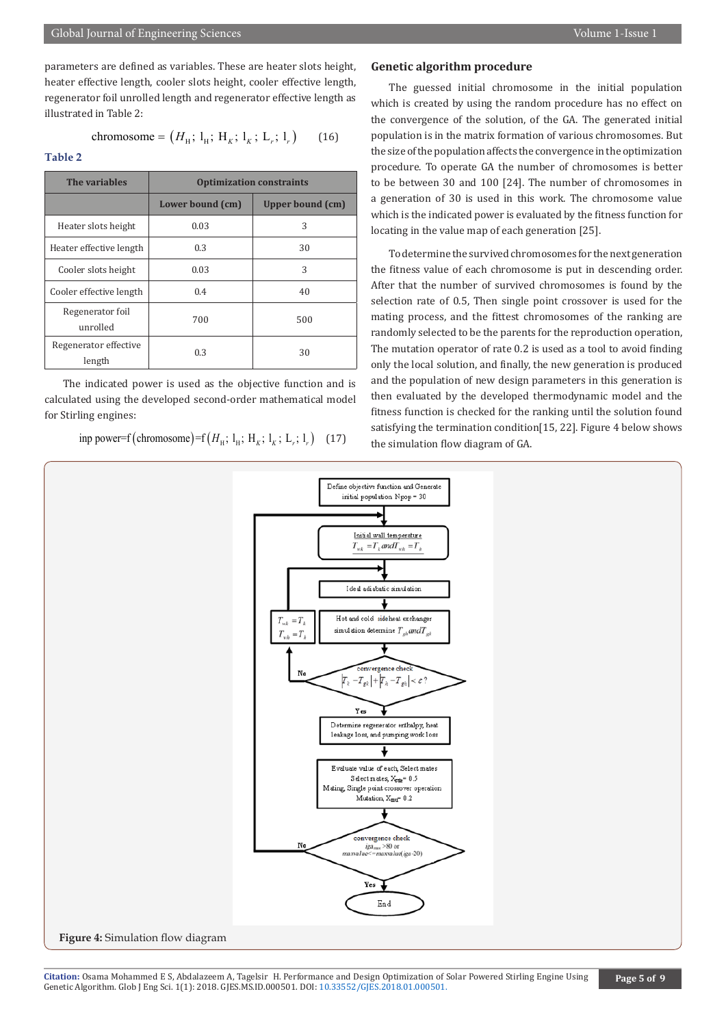chromosome = 
$$
(H_{\rm H}; 1_{\rm H}; H_K; 1_K; 1_r; 1_r)
$$
 (16)

regenerator foil unrolled length and regenerator effective length as

**Table 2**

illustrated in Table 2:

| The variables                   | <b>Optimization constraints</b> |                  |
|---------------------------------|---------------------------------|------------------|
|                                 | Lower bound (cm)                | Upper bound (cm) |
| Heater slots height             | 0.03                            | 3                |
| Heater effective length         | 0.3                             | 30               |
| Cooler slots height             | 0.03                            | 3                |
| Cooler effective length         | 0.4                             | 40               |
| Regenerator foil<br>unrolled    | 700                             | 500              |
| Regenerator effective<br>length | 0.3                             | 30               |

The indicated power is used as the objective function and is calculated using the developed second-order mathematical model for Stirling engines:

inp power=f (chromosome)=f  $(H<sub>H</sub>; 1<sub>H</sub>; H<sub>K</sub>; 1<sub>K</sub>; 1<sub>r</sub>; 1<sub>r</sub>)$  (17)

# **Genetic algorithm procedure**

The guessed initial chromosome in the initial population which is created by using the random procedure has no effect on the convergence of the solution, of the GA. The generated initial population is in the matrix formation of various chromosomes. But the size of the population affects the convergence in the optimization procedure. To operate GA the number of chromosomes is better to be between 30 and 100 [24]. The number of chromosomes in a generation of 30 is used in this work. The chromosome value which is the indicated power is evaluated by the fitness function for locating in the value map of each generation [25].

To determine the survived chromosomes for the next generation the fitness value of each chromosome is put in descending order. After that the number of survived chromosomes is found by the selection rate of 0.5, Then single point crossover is used for the mating process, and the fittest chromosomes of the ranking are randomly selected to be the parents for the reproduction operation, The mutation operator of rate 0.2 is used as a tool to avoid finding only the local solution, and finally, the new generation is produced and the population of new design parameters in this generation is then evaluated by the developed thermodynamic model and the fitness function is checked for the ranking until the solution found satisfying the termination condition[15, 22]. Figure 4 below shows the simulation flow diagram of GA.

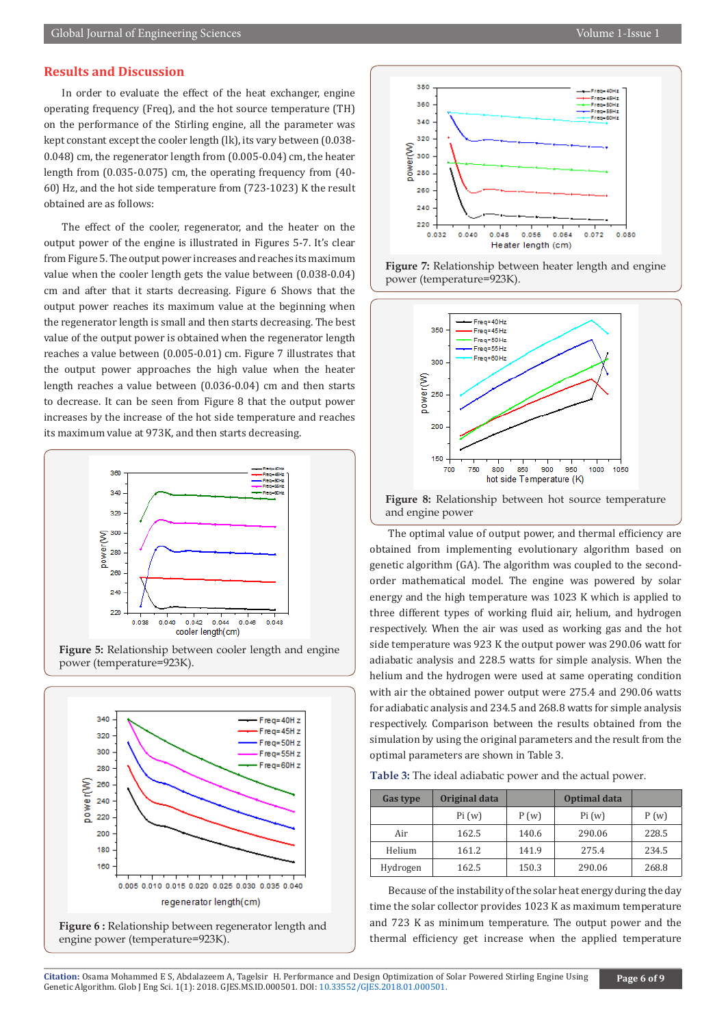# **Results and Discussion**

In order to evaluate the effect of the heat exchanger, engine operating frequency (Freq), and the hot source temperature (TH) on the performance of the Stirling engine, all the parameter was kept constant except the cooler length (lk), its vary between (0.038- 0.048) cm, the regenerator length from (0.005-0.04) cm, the heater length from (0.035-0.075) cm, the operating frequency from (40- 60) Hz, and the hot side temperature from (723-1023) K the result obtained are as follows:

The effect of the cooler, regenerator, and the heater on the output power of the engine is illustrated in Figures 5-7. It's clear from Figure 5. The output power increases and reaches its maximum value when the cooler length gets the value between (0.038-0.04) cm and after that it starts decreasing. Figure 6 Shows that the output power reaches its maximum value at the beginning when the regenerator length is small and then starts decreasing. The best value of the output power is obtained when the regenerator length reaches a value between (0.005-0.01) cm. Figure 7 illustrates that the output power approaches the high value when the heater length reaches a value between (0.036-0.04) cm and then starts to decrease. It can be seen from Figure 8 that the output power increases by the increase of the hot side temperature and reaches its maximum value at 973K, and then starts decreasing.



**Figure 5:** Relationship between cooler length and engine power (temperature=923K).









**Figure 8:** Relationship between hot source temperature and engine power

The optimal value of output power, and thermal efficiency are obtained from implementing evolutionary algorithm based on genetic algorithm (GA). The algorithm was coupled to the secondorder mathematical model. The engine was powered by solar energy and the high temperature was 1023 K which is applied to three different types of working fluid air, helium, and hydrogen respectively. When the air was used as working gas and the hot side temperature was 923 K the output power was 290.06 watt for adiabatic analysis and 228.5 watts for simple analysis. When the helium and the hydrogen were used at same operating condition with air the obtained power output were 275.4 and 290.06 watts for adiabatic analysis and 234.5 and 268.8 watts for simple analysis respectively. Comparison between the results obtained from the simulation by using the original parameters and the result from the optimal parameters are shown in Table 3.

**Table 3:** The ideal adiabatic power and the actual power.

| Gas type | Original data |       | Optimal data |       |
|----------|---------------|-------|--------------|-------|
|          | Pi(w)         | P(w)  | Pi(w)        | P(w)  |
| Air      | 162.5         | 140.6 | 290.06       | 228.5 |
| Helium   | 161.2         | 141.9 | 275.4        | 234.5 |
| Hydrogen | 162.5         | 150.3 | 290.06       | 268.8 |

Because of the instability of the solar heat energy during the day time the solar collector provides 1023 K as maximum temperature and 723 K as minimum temperature. The output power and the thermal efficiency get increase when the applied temperature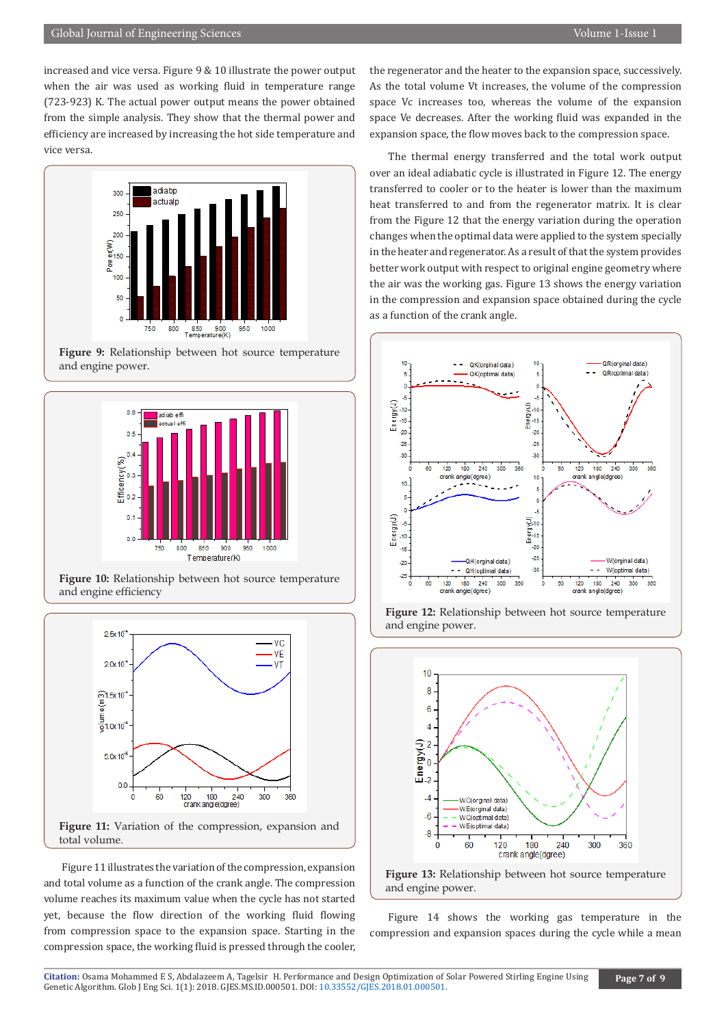increased and vice versa. Figure 9 & 10 illustrate the power output when the air was used as working fluid in temperature range (723-923) K. The actual power output means the power obtained from the simple analysis. They show that the thermal power and efficiency are increased by increasing the hot side temperature and vice versa.



**Figure 9:** Relationship between hot source temperature and engine power.



**Figure 10:** Relationship between hot source temperature and engine efficiency



Figure 11 illustrates the variation of the compression, expansion and total volume as a function of the crank angle. The compression volume reaches its maximum value when the cycle has not started yet, because the flow direction of the working fluid flowing from compression space to the expansion space. Starting in the compression space, the working fluid is pressed through the cooler,

the regenerator and the heater to the expansion space, successively. As the total volume Vt increases, the volume of the compression space Vc increases too, whereas the volume of the expansion space Ve decreases. After the working fluid was expanded in the expansion space, the flow moves back to the compression space.

The thermal energy transferred and the total work output over an ideal adiabatic cycle is illustrated in Figure 12. The energy transferred to cooler or to the heater is lower than the maximum heat transferred to and from the regenerator matrix. It is clear from the Figure 12 that the energy variation during the operation changes when the optimal data were applied to the system specially in the heater and regenerator. As a result of that the system provides better work output with respect to original engine geometry where the air was the working gas. Figure 13 shows the energy variation in the compression and expansion space obtained during the cycle as a function of the crank angle.









Figure 14 shows the working gas temperature in the compression and expansion spaces during the cycle while a mean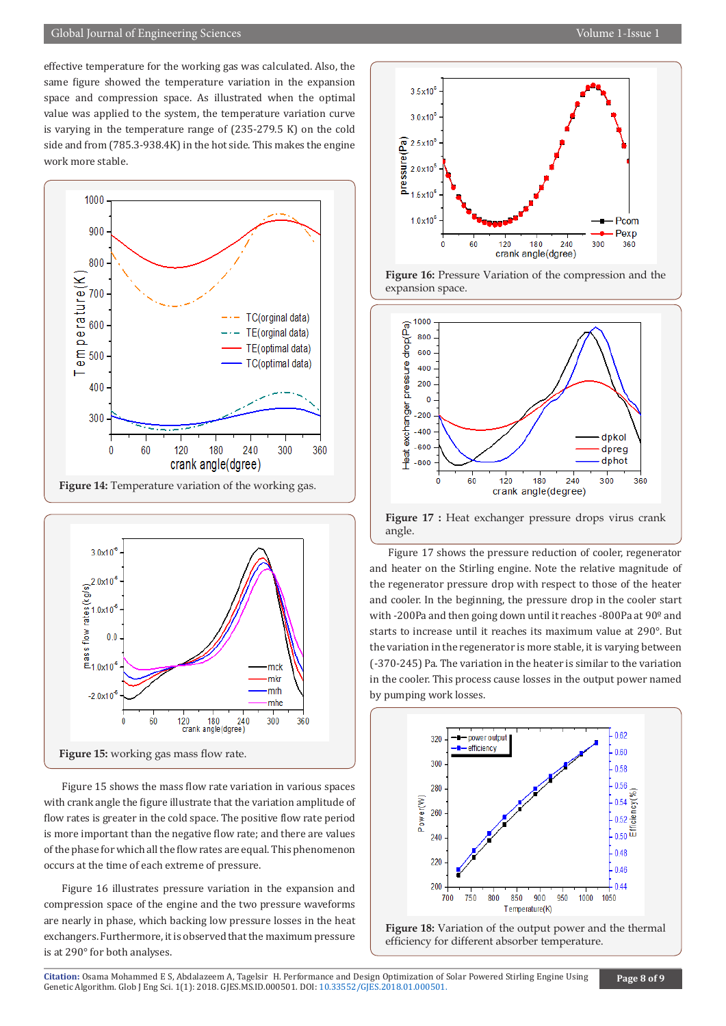effective temperature for the working gas was calculated. Also, the same figure showed the temperature variation in the expansion space and compression space. As illustrated when the optimal value was applied to the system, the temperature variation curve is varying in the temperature range of (235-279.5 K) on the cold side and from (785.3-938.4K) in the hot side. This makes the engine work more stable.





Figure 15 shows the mass flow rate variation in various spaces with crank angle the figure illustrate that the variation amplitude of flow rates is greater in the cold space. The positive flow rate period is more important than the negative flow rate; and there are values of the phase for which all the flow rates are equal. This phenomenon occurs at the time of each extreme of pressure.

Figure 16 illustrates pressure variation in the expansion and compression space of the engine and the two pressure waveforms are nearly in phase, which backing low pressure losses in the heat exchangers. Furthermore, it is observed that the maximum pressure is at 290° for both analyses.







**Figure 17 :** Heat exchanger pressure drops virus crank angle.

Figure 17 shows the pressure reduction of cooler, regenerator and heater on the Stirling engine. Note the relative magnitude of the regenerator pressure drop with respect to those of the heater and cooler. In the beginning, the pressure drop in the cooler start with -200Pa and then going down until it reaches -800Pa at 90º and starts to increase until it reaches its maximum value at 290°. But the variation in the regenerator is more stable, it is varying between (-370-245) Pa. The variation in the heater is similar to the variation in the cooler. This process cause losses in the output power named by pumping work losses.